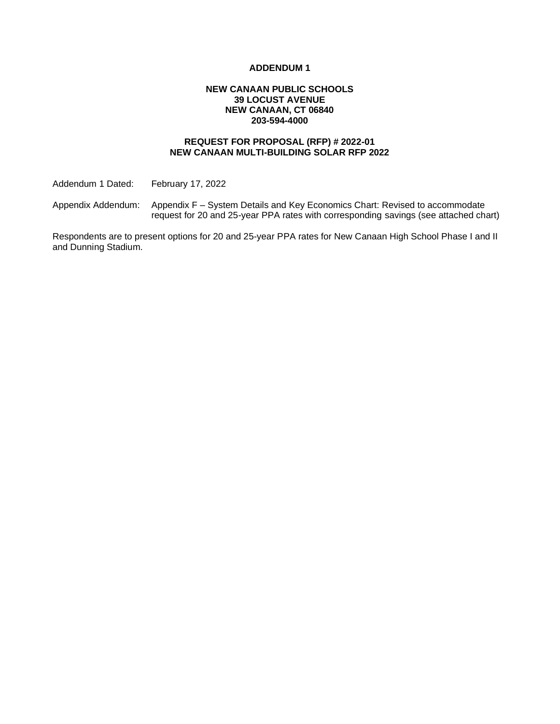#### **ADDENDUM 1**

#### **NEW CANAAN PUBLIC SCHOOLS 39 LOCUST AVENUE NEW CANAAN, CT 06840 203-594-4000**

### **REQUEST FOR PROPOSAL (RFP) # 2022-01 NEW CANAAN MULTI-BUILDING SOLAR RFP 2022**

Addendum 1 Dated: February 17, 2022

Appendix Addendum: Appendix F – System Details and Key Economics Chart: Revised to accommodate request for 20 and 25-year PPA rates with corresponding savings (see attached chart)

Respondents are to present options for 20 and 25-year PPA rates for New Canaan High School Phase I and II and Dunning Stadium.